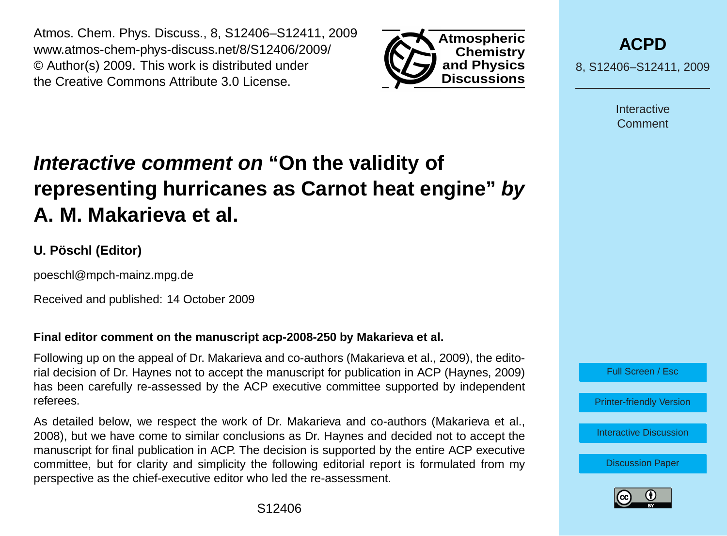Atmos. Chem. Phys. Discuss., 8, S12406–S12411, 2009 www.atmos-chem-phys-discuss.net/8/S12406/2009/ © Author(s) 2009. This work is distributed under the Creative Commons Attribute 3.0 License.



**[ACPD](http://www.atmos-chem-phys-discuss.net)**

8, S12406–S12411, 2009

Interactive Comment

## **Interactive comment on "On the validity of representing hurricanes as Carnot heat engine" by A. M. Makarieva et al.**

## **U. Pöschl (Editor)**

poeschl@mpch-mainz.mpg.de

Received and published: 14 October 2009

## **Final editor comment on the manuscript acp-2008-250 by Makarieva et al.**

Following up on the appeal of Dr. Makarieva and co-authors (Makarieva et al., 2009), the editorial decision of Dr. Haynes not to accept the manuscript for publication in ACP (Haynes, 2009) has been carefully re-assessed by the ACP executive committee supported by independent referees.

As detailed below, we respect the work of Dr. Makarieva and co-authors (Makarieva et al., 2008), but we have come to similar conclusions as Dr. Haynes and decided not to accept the manuscript for final publication in ACP. The decision is supported by the entire ACP executive committee, but for clarity and simplicity the following editorial report is formulated from my perspective as the chief-executive editor who led the re-assessment.



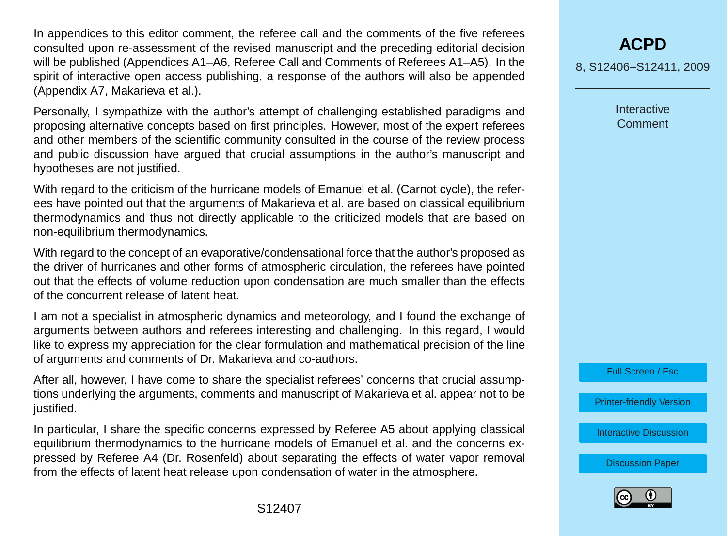In appendices to this editor comment, the referee call and the comments of the five referees consulted upon re-assessment of the revised manuscript and the preceding editorial decision will be published (Appendices A1–A6, Referee Call and Comments of Referees A1–A5). In the spirit of interactive open access publishing, a response of the authors will also be appended (Appendix A7, Makarieva et al.).

Personally, I sympathize with the author's attempt of challenging established paradigms and proposing alternative concepts based on first principles. However, most of the expert referees and other members of the scientific community consulted in the course of the review process and public discussion have argued that crucial assumptions in the author's manuscript and hypotheses are not justified.

With regard to the criticism of the hurricane models of Emanuel et al. (Carnot cycle), the referees have pointed out that the arguments of Makarieva et al. are based on classical equilibrium thermodynamics and thus not directly applicable to the criticized models that are based on non-equilibrium thermodynamics.

With regard to the concept of an evaporative/condensational force that the author's proposed as the driver of hurricanes and other forms of atmospheric circulation, the referees have pointed out that the effects of volume reduction upon condensation are much smaller than the effects of the concurrent release of latent heat.

I am not a specialist in atmospheric dynamics and meteorology, and I found the exchange of arguments between authors and referees interesting and challenging. In this regard, I would like to express my appreciation for the clear formulation and mathematical precision of the line of arguments and comments of Dr. Makarieva and co-authors.

After all, however, I have come to share the specialist referees' concerns that crucial assumptions underlying the arguments, comments and manuscript of Makarieva et al. appear not to be justified.

In particular, I share the specific concerns expressed by Referee A5 about applying classical equilibrium thermodynamics to the hurricane models of Emanuel et al. and the concerns expressed by Referee A4 (Dr. Rosenfeld) about separating the effects of water vapor removal from the effects of latent heat release upon condensation of water in the atmosphere.

**[ACPD](http://www.atmos-chem-phys-discuss.net)** 8, S12406–S12411, 2009

> Interactive Comment

Full Screen / Esc

[Printer-friendly Version](http://www.atmos-chem-phys-discuss.net/8/S12406/2009/acpd-8-S12406-2009-print.pdf)

[Interactive Discussion](http://www.atmos-chem-phys-discuss.net/8/17423/2008/acpd-8-17423-2008-discussion.html)

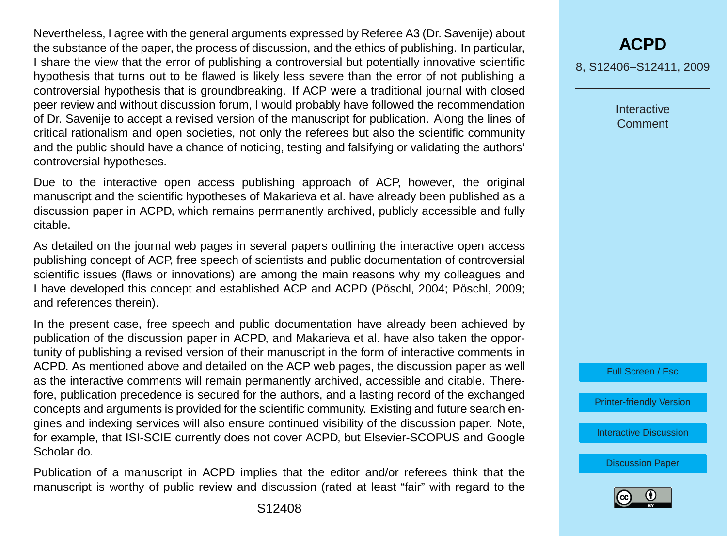Nevertheless, I agree with the general arguments expressed by Referee A3 (Dr. Savenije) about the substance of the paper, the process of discussion, and the ethics of publishing. In particular, I share the view that the error of publishing a controversial but potentially innovative scientific hypothesis that turns out to be flawed is likely less severe than the error of not publishing a controversial hypothesis that is groundbreaking. If ACP were a traditional journal with closed peer review and without discussion forum, I would probably have followed the recommendation of Dr. Savenije to accept a revised version of the manuscript for publication. Along the lines of critical rationalism and open societies, not only the referees but also the scientific community and the public should have a chance of noticing, testing and falsifying or validating the authors' controversial hypotheses.

Due to the interactive open access publishing approach of ACP, however, the original manuscript and the scientific hypotheses of Makarieva et al. have already been published as a discussion paper in ACPD, which remains permanently archived, publicly accessible and fully citable.

As detailed on the journal web pages in several papers outlining the interactive open access publishing concept of ACP, free speech of scientists and public documentation of controversial scientific issues (flaws or innovations) are among the main reasons why my colleagues and I have developed this concept and established ACP and ACPD (Pöschl, 2004; Pöschl, 2009; and references therein).

In the present case, free speech and public documentation have already been achieved by publication of the discussion paper in ACPD, and Makarieva et al. have also taken the opportunity of publishing a revised version of their manuscript in the form of interactive comments in ACPD. As mentioned above and detailed on the ACP web pages, the discussion paper as well as the interactive comments will remain permanently archived, accessible and citable. Therefore, publication precedence is secured for the authors, and a lasting record of the exchanged concepts and arguments is provided for the scientific community. Existing and future search engines and indexing services will also ensure continued visibility of the discussion paper. Note, for example, that ISI-SCIE currently does not cover ACPD, but Elsevier-SCOPUS and Google Scholar do.

Publication of a manuscript in ACPD implies that the editor and/or referees think that the manuscript is worthy of public review and discussion (rated at least "fair" with regard to the

**[ACPD](http://www.atmos-chem-phys-discuss.net)** 8, S12406–S12411, 2009

> Interactive Comment

Full Screen / Esc

[Printer-friendly Version](http://www.atmos-chem-phys-discuss.net/8/S12406/2009/acpd-8-S12406-2009-print.pdf)

[Interactive Discussion](http://www.atmos-chem-phys-discuss.net/8/17423/2008/acpd-8-17423-2008-discussion.html)

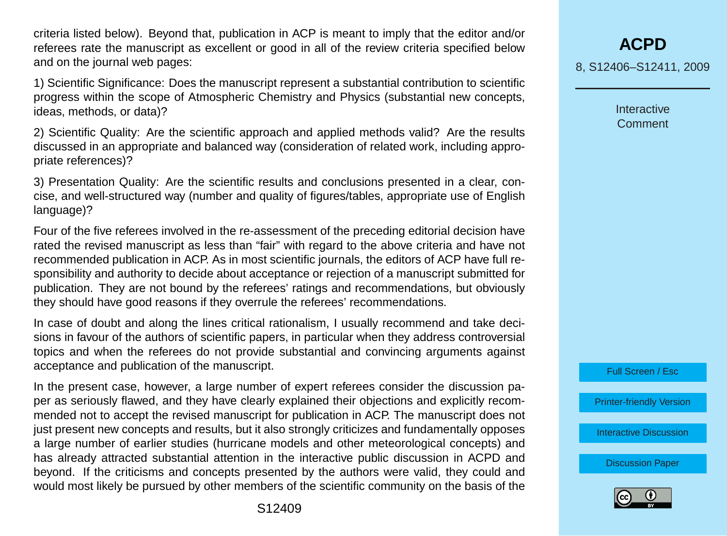criteria listed below). Beyond that, publication in ACP is meant to imply that the editor and/or referees rate the manuscript as excellent or good in all of the review criteria specified below and on the journal web pages:

1) Scientific Significance: Does the manuscript represent a substantial contribution to scientific progress within the scope of Atmospheric Chemistry and Physics (substantial new concepts, ideas, methods, or data)?

2) Scientific Quality: Are the scientific approach and applied methods valid? Are the results discussed in an appropriate and balanced way (consideration of related work, including appropriate references)?

3) Presentation Quality: Are the scientific results and conclusions presented in a clear, concise, and well-structured way (number and quality of figures/tables, appropriate use of English language)?

Four of the five referees involved in the re-assessment of the preceding editorial decision have rated the revised manuscript as less than "fair" with regard to the above criteria and have not recommended publication in ACP. As in most scientific journals, the editors of ACP have full responsibility and authority to decide about acceptance or rejection of a manuscript submitted for publication. They are not bound by the referees' ratings and recommendations, but obviously they should have good reasons if they overrule the referees' recommendations.

In case of doubt and along the lines critical rationalism, I usually recommend and take decisions in favour of the authors of scientific papers, in particular when they address controversial topics and when the referees do not provide substantial and convincing arguments against acceptance and publication of the manuscript.

In the present case, however, a large number of expert referees consider the discussion paper as seriously flawed, and they have clearly explained their objections and explicitly recommended not to accept the revised manuscript for publication in ACP. The manuscript does not just present new concepts and results, but it also strongly criticizes and fundamentally opposes a large number of earlier studies (hurricane models and other meteorological concepts) and has already attracted substantial attention in the interactive public discussion in ACPD and beyond. If the criticisms and concepts presented by the authors were valid, they could and would most likely be pursued by other members of the scientific community on the basis of the

**[ACPD](http://www.atmos-chem-phys-discuss.net)** 8, S12406–S12411, 2009

> Interactive Comment

Full Screen / Esc

[Printer-friendly Version](http://www.atmos-chem-phys-discuss.net/8/S12406/2009/acpd-8-S12406-2009-print.pdf)

[Interactive Discussion](http://www.atmos-chem-phys-discuss.net/8/17423/2008/acpd-8-17423-2008-discussion.html)

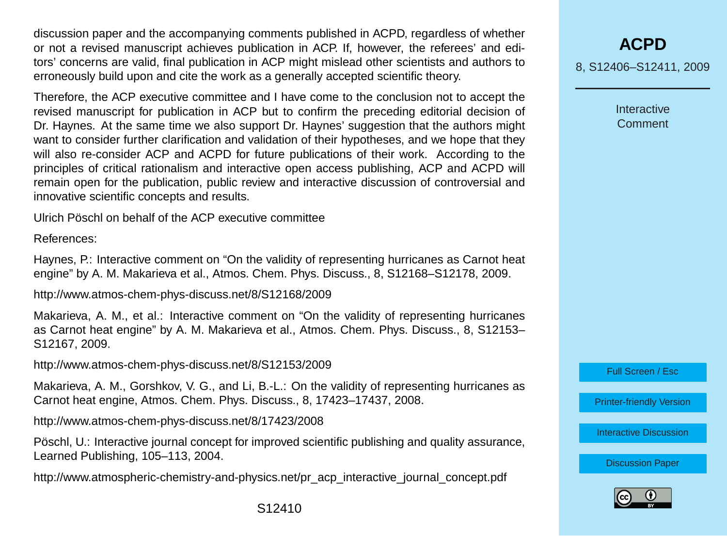discussion paper and the accompanying comments published in ACPD, regardless of whether or not a revised manuscript achieves publication in ACP. If, however, the referees' and editors' concerns are valid, final publication in ACP might mislead other scientists and authors to erroneously build upon and cite the work as a generally accepted scientific theory.

Therefore, the ACP executive committee and I have come to the conclusion not to accept the revised manuscript for publication in ACP but to confirm the preceding editorial decision of Dr. Haynes. At the same time we also support Dr. Haynes' suggestion that the authors might want to consider further clarification and validation of their hypotheses, and we hope that they will also re-consider ACP and ACPD for future publications of their work. According to the principles of critical rationalism and interactive open access publishing, ACP and ACPD will remain open for the publication, public review and interactive discussion of controversial and innovative scientific concepts and results.

Ulrich Pöschl on behalf of the ACP executive committee

References:

Haynes, P.: Interactive comment on "On the validity of representing hurricanes as Carnot heat engine" by A. M. Makarieva et al., Atmos. Chem. Phys. Discuss., 8, S12168–S12178, 2009.

http://www.atmos-chem-phys-discuss.net/8/S12168/2009

Makarieva, A. M., et al.: Interactive comment on "On the validity of representing hurricanes as Carnot heat engine" by A. M. Makarieva et al., Atmos. Chem. Phys. Discuss., 8, S12153– S12167, 2009.

http://www.atmos-chem-phys-discuss.net/8/S12153/2009

Makarieva, A. M., Gorshkov, V. G., and Li, B.-L.: On the validity of representing hurricanes as Carnot heat engine, Atmos. Chem. Phys. Discuss., 8, 17423–17437, 2008.

http://www.atmos-chem-phys-discuss.net/8/17423/2008

Pöschl, U.: Interactive journal concept for improved scientific publishing and quality assurance, Learned Publishing, 105–113, 2004.

http://www.atmospheric-chemistry-and-physics.net/pr\_acp\_interactive\_journal\_concept.pdf

Interactive Comment

Full Screen / Esc

[Printer-friendly Version](http://www.atmos-chem-phys-discuss.net/8/S12406/2009/acpd-8-S12406-2009-print.pdf)

[Interactive Discussion](http://www.atmos-chem-phys-discuss.net/8/17423/2008/acpd-8-17423-2008-discussion.html)